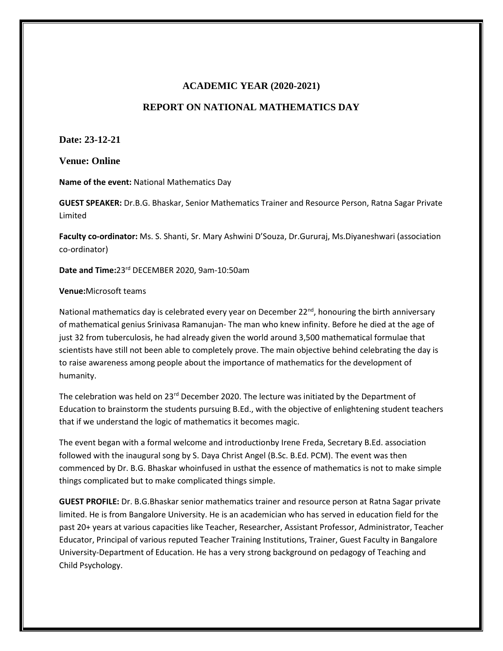## **ACADEMIC YEAR (2020-2021)**

## **REPORT ON NATIONAL MATHEMATICS DAY**

**Date: 23-12-21**

**Venue: Online**

**Name of the event:** National Mathematics Day

**GUEST SPEAKER:** Dr.B.G. Bhaskar, Senior Mathematics Trainer and Resource Person, Ratna Sagar Private Limited

**Faculty co-ordinator:** Ms. S. Shanti, Sr. Mary Ashwini D'Souza, Dr.Gururaj, Ms.Diyaneshwari (association co-ordinator)

**Date and Time:**23rd DECEMBER 2020, 9am-10:50am

## **Venue:**Microsoft teams

National mathematics day is celebrated every year on December 22<sup>nd</sup>, honouring the birth anniversary of mathematical genius Srinivasa Ramanujan- The man who knew infinity. Before he died at the age of just 32 from tuberculosis, he had already given the world around 3,500 mathematical formulae that scientists have still not been able to completely prove. The main objective behind celebrating the day is to raise awareness among people about the importance of mathematics for the development of humanity.

The celebration was held on  $23^{rd}$  December 2020. The lecture was initiated by the Department of Education to brainstorm the students pursuing B.Ed., with the objective of enlightening student teachers that if we understand the logic of mathematics it becomes magic.

The event began with a formal welcome and introductionby Irene Freda, Secretary B.Ed. association followed with the inaugural song by S. Daya Christ Angel (B.Sc. B.Ed. PCM). The event was then commenced by Dr. B.G. Bhaskar whoinfused in usthat the essence of mathematics is not to make simple things complicated but to make complicated things simple.

**GUEST PROFILE:** Dr. B.G.Bhaskar senior mathematics trainer and resource person at Ratna Sagar private limited. He is from Bangalore University. He is an academician who has served in education field for the past 20+ years at various capacities like Teacher, Researcher, Assistant Professor, Administrator, Teacher Educator, Principal of various reputed Teacher Training Institutions, Trainer, Guest Faculty in Bangalore University-Department of Education. He has a very strong background on pedagogy of Teaching and Child Psychology.